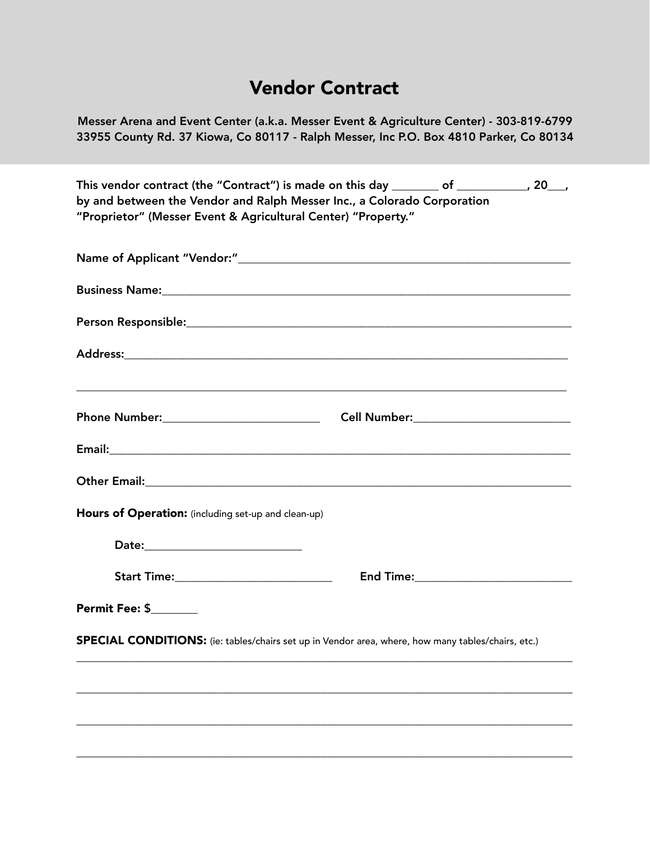### Vendor Contract

Messer Arena and Event Center (a.k.a. Messer Event & Agriculture Center) - 303-819-6799 33955 County Rd. 37 Kiowa, Co 80117 - Ralph Messer, Inc P.O. Box 4810 Parker, Co 80134

This vendor contract (the "Contract") is made on this day \_\_\_\_\_\_\_\_ of \_\_\_\_\_\_\_\_\_\_, 20\_\_, by and between the Vendor and Ralph Messer Inc., a Colorado Corporation "Proprietor" (Messer Event & Agricultural Center) "Property."

| Hours of Operation: (including set-up and clean-up) |                                                                                                    |
|-----------------------------------------------------|----------------------------------------------------------------------------------------------------|
| Date:______________________________                 |                                                                                                    |
|                                                     | End Time:____________________________                                                              |
| <b>Permit Fee: \$_______</b>                        |                                                                                                    |
|                                                     | SPECIAL CONDITIONS: (ie: tables/chairs set up in Vendor area, where, how many tables/chairs, etc.) |
|                                                     |                                                                                                    |
|                                                     |                                                                                                    |
|                                                     |                                                                                                    |
|                                                     |                                                                                                    |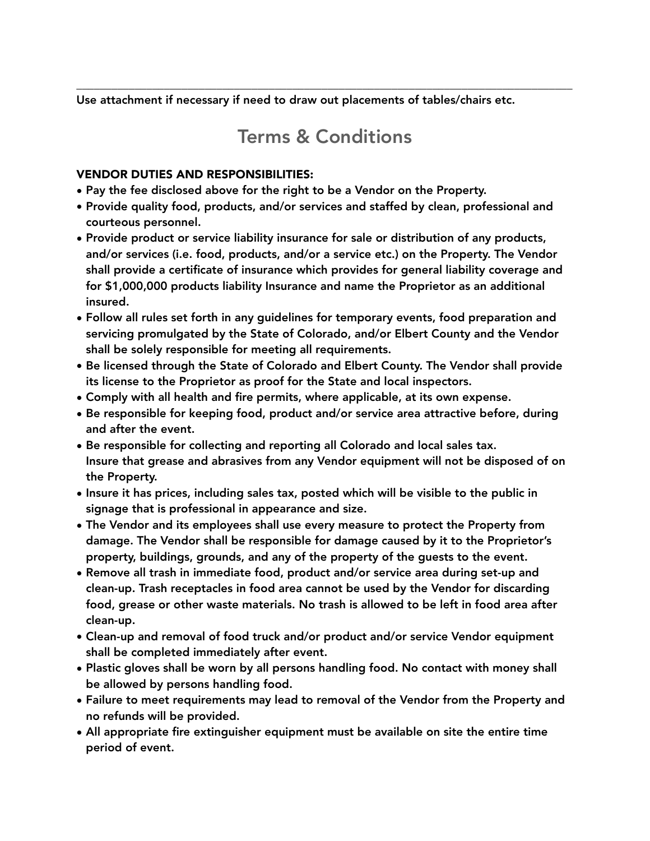Use attachment if necessary if need to draw out placements of tables/chairs etc.

# Terms & Conditions

\_\_\_\_\_\_\_\_\_\_\_\_\_\_\_\_\_\_\_\_\_\_\_\_\_\_\_\_\_\_\_\_\_\_\_\_\_\_\_\_\_\_\_\_\_\_\_\_\_\_\_\_\_\_\_\_\_\_\_\_\_\_\_\_\_\_\_\_\_\_\_\_\_\_\_\_\_\_\_\_\_\_\_\_\_

#### VENDOR DUTIES AND RESPONSIBILITIES:

- Pay the fee disclosed above for the right to be a Vendor on the Property.
- Provide quality food, products, and/or services and staffed by clean, professional and courteous personnel.
- Provide product or service liability insurance for sale or distribution of any products, and/or services (i.e. food, products, and/or a service etc.) on the Property. The Vendor shall provide a certificate of insurance which provides for general liability coverage and for \$1,000,000 products liability Insurance and name the Proprietor as an additional insured.
- Follow all rules set forth in any guidelines for temporary events, food preparation and servicing promulgated by the State of Colorado, and/or Elbert County and the Vendor shall be solely responsible for meeting all requirements.
- Be licensed through the State of Colorado and Elbert County. The Vendor shall provide its license to the Proprietor as proof for the State and local inspectors.
- Comply with all health and fire permits, where applicable, at its own expense.
- Be responsible for keeping food, product and/or service area attractive before, during and after the event.
- Be responsible for collecting and reporting all Colorado and local sales tax. Insure that grease and abrasives from any Vendor equipment will not be disposed of on the Property.
- Insure it has prices, including sales tax, posted which will be visible to the public in signage that is professional in appearance and size.
- The Vendor and its employees shall use every measure to protect the Property from damage. The Vendor shall be responsible for damage caused by it to the Proprietor's property, buildings, grounds, and any of the property of the guests to the event.
- Remove all trash in immediate food, product and/or service area during set-up and clean-up. Trash receptacles in food area cannot be used by the Vendor for discarding food, grease or other waste materials. No trash is allowed to be left in food area after clean-up.
- Clean-up and removal of food truck and/or product and/or service Vendor equipment shall be completed immediately after event.
- Plastic gloves shall be worn by all persons handling food. No contact with money shall be allowed by persons handling food.
- Failure to meet requirements may lead to removal of the Vendor from the Property and no refunds will be provided.
- All appropriate fire extinguisher equipment must be available on site the entire time period of event.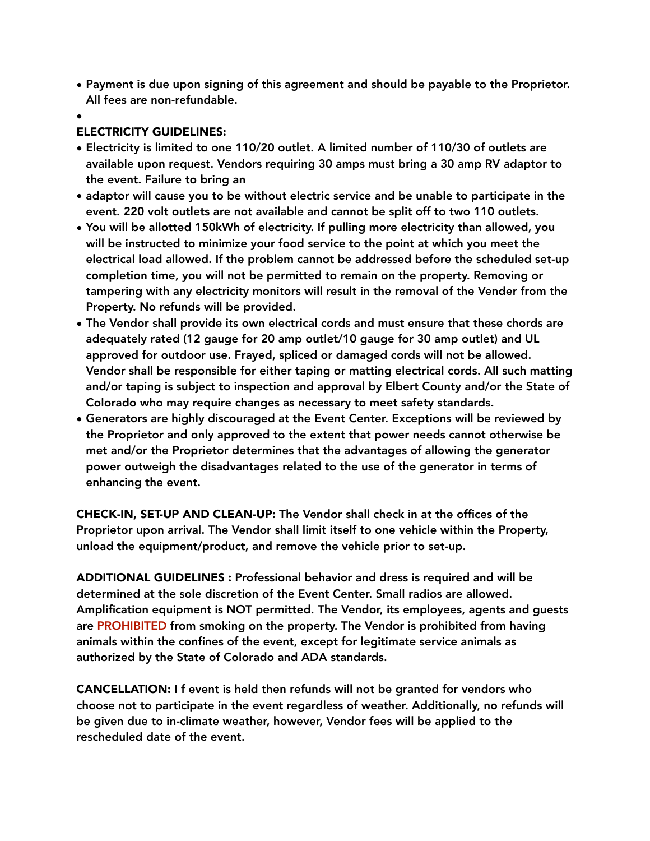- Payment is due upon signing of this agreement and should be payable to the Proprietor. All fees are non-refundable.
- •

### ELECTRICITY GUIDELINES:

- Electricity is limited to one 110/20 outlet. A limited number of 110/30 of outlets are available upon request. Vendors requiring 30 amps must bring a 30 amp RV adaptor to the event. Failure to bring an
- adaptor will cause you to be without electric service and be unable to participate in the event. 220 volt outlets are not available and cannot be split off to two 110 outlets.
- You will be allotted 150kWh of electricity. If pulling more electricity than allowed, you will be instructed to minimize your food service to the point at which you meet the electrical load allowed. If the problem cannot be addressed before the scheduled set-up completion time, you will not be permitted to remain on the property. Removing or tampering with any electricity monitors will result in the removal of the Vender from the Property. No refunds will be provided.
- The Vendor shall provide its own electrical cords and must ensure that these chords are adequately rated (12 gauge for 20 amp outlet/10 gauge for 30 amp outlet) and UL approved for outdoor use. Frayed, spliced or damaged cords will not be allowed. Vendor shall be responsible for either taping or matting electrical cords. All such matting and/or taping is subject to inspection and approval by Elbert County and/or the State of Colorado who may require changes as necessary to meet safety standards.
- Generators are highly discouraged at the Event Center. Exceptions will be reviewed by the Proprietor and only approved to the extent that power needs cannot otherwise be met and/or the Proprietor determines that the advantages of allowing the generator power outweigh the disadvantages related to the use of the generator in terms of enhancing the event.

CHECK-IN, SET-UP AND CLEAN-UP: The Vendor shall check in at the offices of the Proprietor upon arrival. The Vendor shall limit itself to one vehicle within the Property, unload the equipment/product, and remove the vehicle prior to set-up.

ADDITIONAL GUIDELINES : Professional behavior and dress is required and will be determined at the sole discretion of the Event Center. Small radios are allowed. Amplification equipment is NOT permitted. The Vendor, its employees, agents and guests are PROHIBITED from smoking on the property. The Vendor is prohibited from having animals within the confines of the event, except for legitimate service animals as authorized by the State of Colorado and ADA standards.

CANCELLATION: I f event is held then refunds will not be granted for vendors who choose not to participate in the event regardless of weather. Additionally, no refunds will be given due to in-climate weather, however, Vendor fees will be applied to the rescheduled date of the event.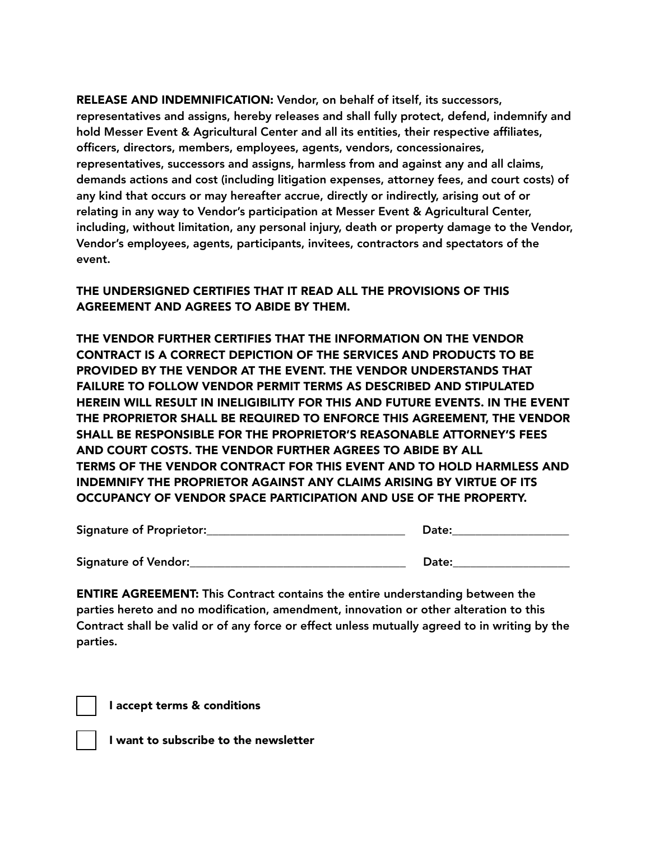RELEASE AND INDEMNIFICATION: Vendor, on behalf of itself, its successors, representatives and assigns, hereby releases and shall fully protect, defend, indemnify and hold Messer Event & Agricultural Center and all its entities, their respective affiliates, officers, directors, members, employees, agents, vendors, concessionaires, representatives, successors and assigns, harmless from and against any and all claims, demands actions and cost (including litigation expenses, attorney fees, and court costs) of any kind that occurs or may hereafter accrue, directly or indirectly, arising out of or relating in any way to Vendor's participation at Messer Event & Agricultural Center, including, without limitation, any personal injury, death or property damage to the Vendor, Vendor's employees, agents, participants, invitees, contractors and spectators of the event.

#### THE UNDERSIGNED CERTIFIES THAT IT READ ALL THE PROVISIONS OF THIS AGREEMENT AND AGREES TO ABIDE BY THEM.

THE VENDOR FURTHER CERTIFIES THAT THE INFORMATION ON THE VENDOR CONTRACT IS A CORRECT DEPICTION OF THE SERVICES AND PRODUCTS TO BE PROVIDED BY THE VENDOR AT THE EVENT. THE VENDOR UNDERSTANDS THAT FAILURE TO FOLLOW VENDOR PERMIT TERMS AS DESCRIBED AND STIPULATED HEREIN WILL RESULT IN INELIGIBILITY FOR THIS AND FUTURE EVENTS. IN THE EVENT THE PROPRIETOR SHALL BE REQUIRED TO ENFORCE THIS AGREEMENT, THE VENDOR SHALL BE RESPONSIBLE FOR THE PROPRIETOR'S REASONABLE ATTORNEY'S FEES AND COURT COSTS. THE VENDOR FURTHER AGREES TO ABIDE BY ALL TERMS OF THE VENDOR CONTRACT FOR THIS EVENT AND TO HOLD HARMLESS AND INDEMNIFY THE PROPRIETOR AGAINST ANY CLAIMS ARISING BY VIRTUE OF ITS OCCUPANCY OF VENDOR SPACE PARTICIPATION AND USE OF THE PROPERTY.

| Signature of Proprietor: | Date: |
|--------------------------|-------|
| Signature of Vendor:     | Date: |

ENTIRE AGREEMENT: This Contract contains the entire understanding between the parties hereto and no modification, amendment, innovation or other alteration to this Contract shall be valid or of any force or effect unless mutually agreed to in writing by the parties.

I accept terms & conditions

I want to subscribe to the newsletter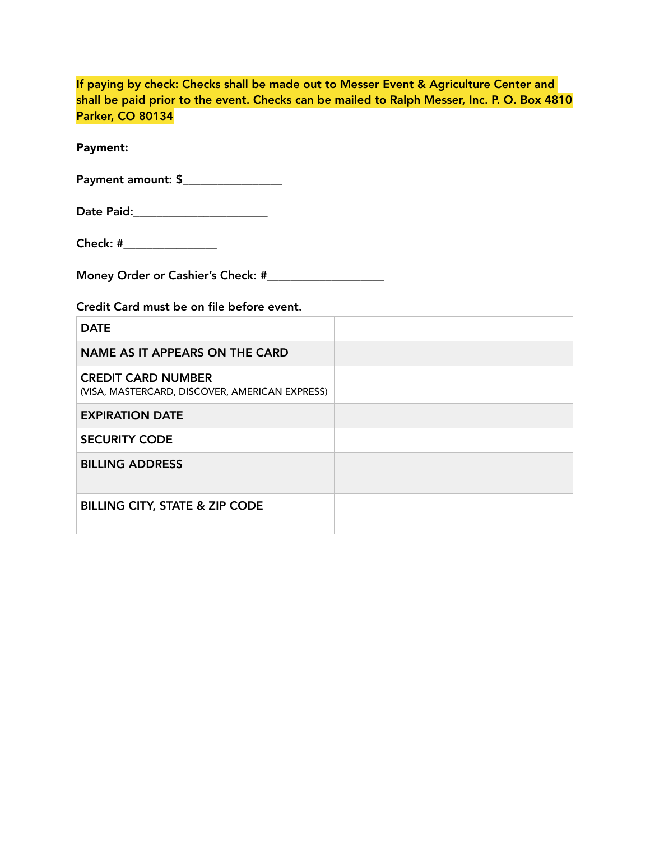|                         | If paying by check: Checks shall be made out to Messer Event & Agriculture Center and       |
|-------------------------|---------------------------------------------------------------------------------------------|
|                         | shall be paid prior to the event. Checks can be mailed to Ralph Messer, Inc. P. O. Box 4810 |
| <b>Parker, CO 80134</b> |                                                                                             |

Payment:

| Date Paid: |  |
|------------|--|
|------------|--|

| Check: <b>Check</b> |  |
|---------------------|--|
|                     |  |

Money Order or Cashier's Check: #\_\_\_\_\_\_\_\_\_\_\_\_\_\_\_\_\_\_\_\_

Credit Card must be on file before event.

| <b>DATE</b>                                                                 |  |
|-----------------------------------------------------------------------------|--|
| NAME AS IT APPEARS ON THE CARD                                              |  |
| <b>CREDIT CARD NUMBER</b><br>(VISA, MASTERCARD, DISCOVER, AMERICAN EXPRESS) |  |
| <b>EXPIRATION DATE</b>                                                      |  |
| <b>SECURITY CODE</b>                                                        |  |
| <b>BILLING ADDRESS</b>                                                      |  |
| <b>BILLING CITY, STATE &amp; ZIP CODE</b>                                   |  |